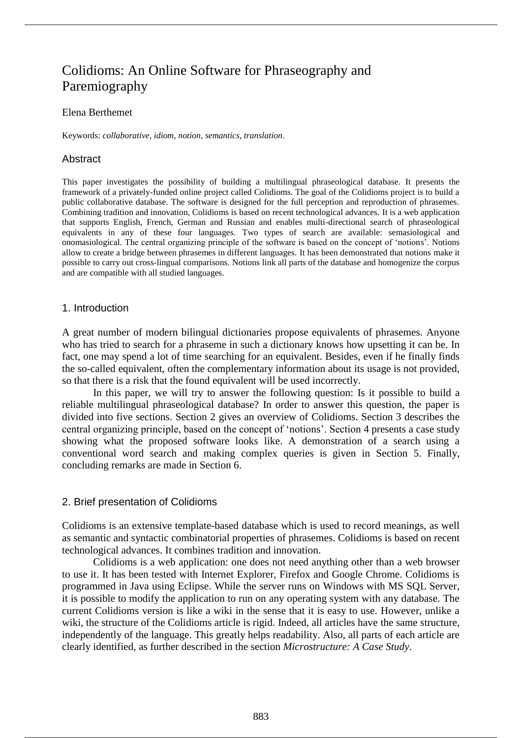# Colidioms: An Online Software for Phraseography and Paremiography

#### Elena Berthemet

Keywords: *collaborative*, *idiom*, *notion*, *semantics*, *translation*.

# Abstract

This paper investigates the possibility of building a multilingual phraseological database. It presents the framework of a privately-funded online project called Colidioms. The goal of the Colidioms project is to build a public collaborative database. The software is designed for the full perception and reproduction of phrasemes. Combining tradition and innovation, Colidioms is based on recent technological advances. It is a web application that supports English, French, German and Russian and enables multi-directional search of phraseological equivalents in any of these four languages. Two types of search are available: semasiological and onomasiological. The central organizing principle of the software is based on the concept of 'notions'. Notions allow to create a bridge between phrasemes in different languages. It has been demonstrated that notions make it possible to carry out cross-lingual comparisons. Notions link all parts of the database and homogenize the corpus and are compatible with all studied languages.

#### 1. Introduction

A great number of modern bilingual dictionaries propose equivalents of phrasemes. Anyone who has tried to search for a phraseme in such a dictionary knows how upsetting it can be. In fact, one may spend a lot of time searching for an equivalent. Besides, even if he finally finds the so-called equivalent, often the complementary information about its usage is not provided, so that there is a risk that the found equivalent will be used incorrectly.

In this paper, we will try to answer the following question: Is it possible to build a reliable multilingual phraseological database? In order to answer this question, the paper is divided into five sections. Section 2 gives an overview of Colidioms. Section 3 describes the central organizing principle, based on the concept of 'notions'. Section 4 presents a case study showing what the proposed software looks like. A demonstration of a search using a conventional word search and making complex queries is given in Section 5. Finally, concluding remarks are made in Section 6.

# 2. Brief presentation of Colidioms

Colidioms is an extensive template-based database which is used to record meanings, as well as semantic and syntactic combinatorial properties of phrasemes. Colidioms is based on recent technological advances. It combines tradition and innovation.

Colidioms is a web application: one does not need anything other than a web browser to use it. It has been tested with Internet Explorer, Firefox and Google Chrome. Colidioms is programmed in Java using Eclipse. While the server runs on Windows with MS SQL Server, it is possible to modify the application to run on any operating system with any database. The current Colidioms version is like a wiki in the sense that it is easy to use. However, unlike a wiki, the structure of the Colidioms article is rigid. Indeed, all articles have the same structure, independently of the language. This greatly helps readability. Also, all parts of each article are clearly identified, as further described in the section *Microstructure: A Case Study*.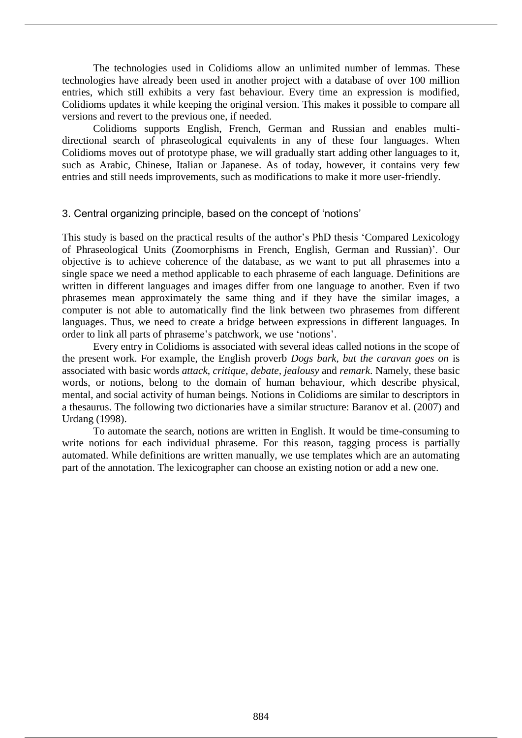The technologies used in Colidioms allow an unlimited number of lemmas. These technologies have already been used in another project with a database of over 100 million entries, which still exhibits a very fast behaviour. Every time an expression is modified, Colidioms updates it while keeping the original version. This makes it possible to compare all versions and revert to the previous one, if needed.

Colidioms supports English, French, German and Russian and enables multidirectional search of phraseological equivalents in any of these four languages. When Colidioms moves out of prototype phase, we will gradually start adding other languages to it, such as Arabic, Chinese, Italian or Japanese. As of today, however, it contains very few entries and still needs improvements, such as modifications to make it more user-friendly.

#### 3. Central organizing principle, based on the concept of 'notions'

This study is based on the practical results of the author's PhD thesis 'Compared Lexicology of Phraseological Units (Zoomorphisms in French, English, German and Russian)'. Our objective is to achieve coherence of the database, as we want to put all phrasemes into a single space we need a method applicable to each phraseme of each language. Definitions are written in different languages and images differ from one language to another. Even if two phrasemes mean approximately the same thing and if they have the similar images, a computer is not able to automatically find the link between two phrasemes from different languages. Thus, we need to create a bridge between expressions in different languages. In order to link all parts of phraseme's patchwork, we use 'notions'.

Every entry in Colidioms is associated with several ideas called notions in the scope of the present work. For example, the English proverb *Dogs bark, but the caravan goes on* is associated with basic words *attack, critique, debate, jealousy* and *remark*. Namely, these basic words, or notions, belong to the domain of human behaviour, which describe physical, mental, and social activity of human beings*.* Notions in Colidioms are similar to descriptors in a thesaurus. The following two dictionaries have a similar structure: Baranov et al. (2007) and Urdang (1998).

To automate the search, notions are written in English. It would be time-consuming to write notions for each individual phraseme. For this reason, tagging process is partially automated. While definitions are written manually, we use templates which are an automating part of the annotation. The lexicographer can choose an existing notion or add a new one.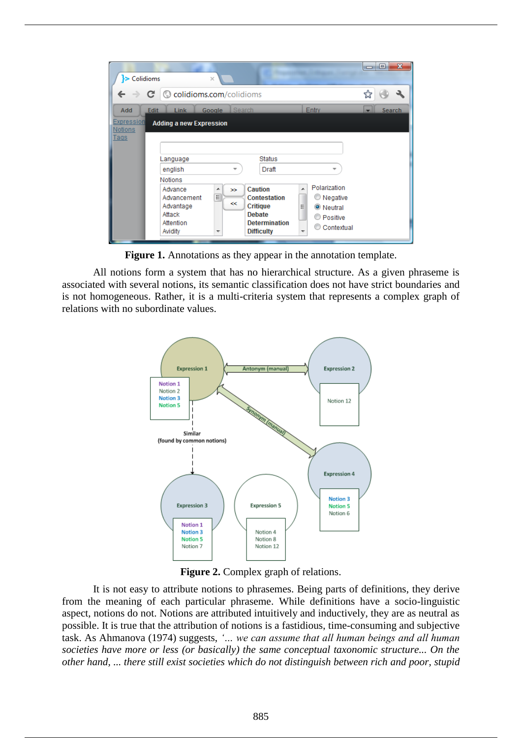| $\triangleright$ Colidioms   | $\times$                       |               |                                               |                 | $\Box$ | $\mathbf{x}$<br>o |
|------------------------------|--------------------------------|---------------|-----------------------------------------------|-----------------|--------|-------------------|
| c                            | © colidioms.com/colidioms      |               |                                               |                 |        |                   |
| Add<br><b>Edit</b>           | <b>Link</b><br>Google          | <b>Search</b> |                                               | Entry           | ×      | Search            |
| <b>Expression</b><br>Notions | <b>Adding a new Expression</b> |               |                                               |                 |        |                   |
| <b>Tags</b>                  |                                |               |                                               |                 |        |                   |
|                              |                                |               |                                               |                 |        |                   |
|                              | Language                       |               | <b>Status</b>                                 |                 |        |                   |
|                              | english                        | -             | Draft                                         | ÷               |        |                   |
|                              | <b>Notions</b>                 |               |                                               |                 |        |                   |
|                              | Advance                        | ▲<br>$\infty$ | Caution<br>A                                  | Polarization    |        |                   |
|                              | Advancement                    | 릐             | <b>Contestation</b>                           | <b>Negative</b> |        |                   |
|                              | Advantage                      | $\ll$         | <b>Critique</b><br>Ξ                          | O Neutral       |        |                   |
|                              | Attack                         |               | <b>Debate</b>                                 | ∩<br>Positive   |        |                   |
|                              | Attention                      |               | <b>Determination</b>                          | Contextual      |        |                   |
|                              | Avidity                        |               | <b>Difficulty</b><br>$\overline{\phantom{0}}$ |                 |        |                   |

**Figure 1.** Annotations as they appear in the annotation template.

All notions form a system that has no hierarchical structure. As a given phraseme is associated with several notions, its semantic classification does not have strict boundaries and is not homogeneous. Rather, it is a multi-criteria system that represents a complex graph of relations with no subordinate values.



**Figure 2.** Complex graph of relations.

It is not easy to attribute notions to phrasemes. Being parts of definitions, they derive from the meaning of each particular phraseme. While definitions have a socio-linguistic aspect, notions do not. Notions are attributed intuitively and inductively, they are as neutral as possible. It is true that the attribution of notions is a fastidious, time-consuming and subjective task. As Ahmanova (1974) suggests, *'… we can assume that all human beings and all human societies have more or less (or basically) the same conceptual taxonomic structure... On the other hand, ... there still exist societies which do not distinguish between rich and poor, stupid*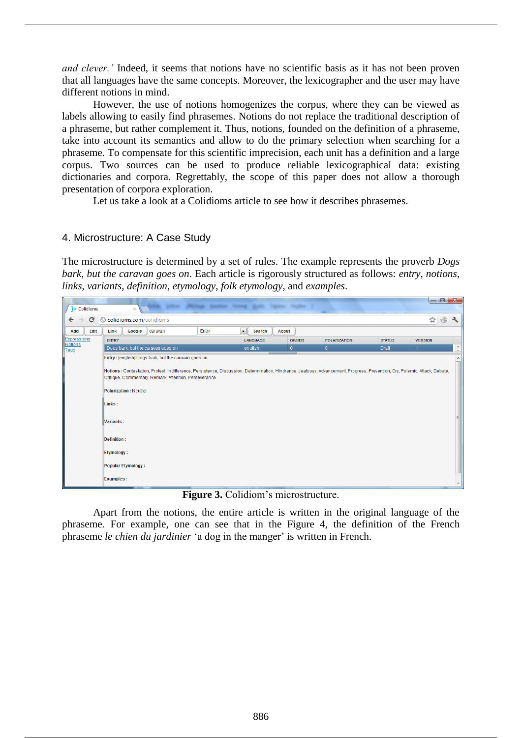*and clever.'* Indeed, it seems that notions have no scientific basis as it has not been proven that all languages have the same concepts. Moreover, the lexicographer and the user may have different notions in mind.

However, the use of notions homogenizes the corpus, where they can be viewed as labels allowing to easily find phrasemes. Notions do not replace the traditional description of a phraseme, but rather complement it. Thus, notions, founded on the definition of a phraseme, take into account its semantics and allow to do the primary selection when searching for a phraseme. To compensate for this scientific imprecision, each unit has a definition and a large corpus. Two sources can be used to produce reliable lexicographical data: existing dictionaries and corpora. Regrettably, the scope of this paper does not allow a thorough presentation of corpora exploration.

Let us take a look at a Colidioms article to see how it describes phrasemes.

# 4. Microstructure: A Case Study

The microstructure is determined by a set of rules. The example represents the proverb *Dogs bark, but the caravan goes on*. Each article is rigorously structured as follows: *entry*, *notions*, *links*, *variants*, *definition*, *etymology*, *folk etymology*, and *examples*.

| > Colidioms                          | $\times$                     |                                                       |                                                                                                                                                                             |                                    |              |                     |               |                | $-1$                     |
|--------------------------------------|------------------------------|-------------------------------------------------------|-----------------------------------------------------------------------------------------------------------------------------------------------------------------------------|------------------------------------|--------------|---------------------|---------------|----------------|--------------------------|
| C<br>$\leftarrow$ $\rightarrow$      |                              | © colidioms.com/colidioms                             |                                                                                                                                                                             |                                    |              |                     |               | ☆              |                          |
| Add<br>Edit                          | Link<br>Google               | caravan                                               | Entry                                                                                                                                                                       | $\overline{\phantom{a}}$<br>Search | About        |                     |               |                |                          |
| <b>Expressions</b><br><b>Notions</b> | <b>ENTRY</b>                 |                                                       |                                                                                                                                                                             | LANGUAGE                           | <b>OWNER</b> | <b>POLARIZATION</b> | <b>STATUS</b> | <b>VERSION</b> |                          |
| Tags                                 |                              | Dogs bark, but the caravan goes on                    |                                                                                                                                                                             | english                            | $\mathbf{0}$ | $\mathbf{0}$        | <b>Draft</b>  | $\mathbf{1}$   | $\hat{=}$                |
|                                      |                              | Entry : [english] Dogs bark, but the caravan goes on  |                                                                                                                                                                             |                                    |              |                     |               |                | $\blacktriangle$         |
|                                      |                              |                                                       | Notions: Contestation, Protest, Indifference, Persistence, Discussion, Determination, Hindrance, Jealousy, Advancement, Progress, Prevention, Cry, Polemic, Attack, Debate, |                                    |              |                     |               |                |                          |
|                                      |                              | Critique, Commentary, Remark, Attention, Perseverance |                                                                                                                                                                             |                                    |              |                     |               |                |                          |
|                                      | <b>Polarization: Neutral</b> |                                                       |                                                                                                                                                                             |                                    |              |                     |               |                |                          |
|                                      | Links:                       |                                                       |                                                                                                                                                                             |                                    |              |                     |               |                |                          |
|                                      | <b>Variants:</b>             |                                                       |                                                                                                                                                                             |                                    |              |                     |               |                |                          |
|                                      | Definition:                  |                                                       |                                                                                                                                                                             |                                    |              |                     |               |                |                          |
|                                      | <b>Etymology:</b>            |                                                       |                                                                                                                                                                             |                                    |              |                     |               |                |                          |
|                                      | <b>Popular Etymology:</b>    |                                                       |                                                                                                                                                                             |                                    |              |                     |               |                |                          |
|                                      | <b>Examples:</b>             |                                                       |                                                                                                                                                                             |                                    |              |                     |               |                | $\overline{\phantom{a}}$ |

**Figure 3.** Colidiom's microstructure.

Apart from the notions, the entire article is written in the original language of the phraseme. For example, one can see that in the Figure 4, the definition of the French phraseme *le chien du jardinier* 'a dog in the manger' is written in French.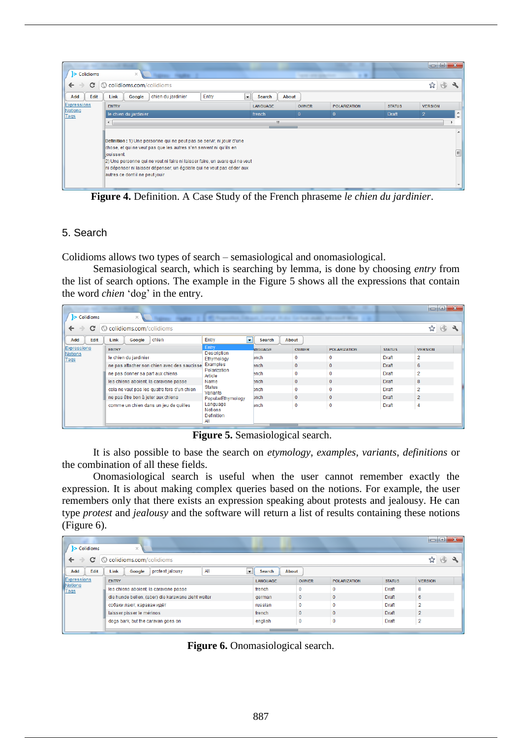| > Colidioms                        | $\times$                                                                                                                                                                                                                                                                                                                                               |                                   |                 | <b><i>CARDINAL CARDINAL CARDINALS</i></b> | $-10$<br>. .        |               | to O.          |                                |
|------------------------------------|--------------------------------------------------------------------------------------------------------------------------------------------------------------------------------------------------------------------------------------------------------------------------------------------------------------------------------------------------------|-----------------------------------|-----------------|-------------------------------------------|---------------------|---------------|----------------|--------------------------------|
| c<br>$\leftarrow$<br>$\rightarrow$ | © colidioms.com/colidioms                                                                                                                                                                                                                                                                                                                              |                                   |                 |                                           |                     |               |                |                                |
| Edit<br>Add                        | chien du jardinier<br>Link<br>Google                                                                                                                                                                                                                                                                                                                   | $\overline{\phantom{a}}$<br>Entry | About<br>Search |                                           |                     |               |                |                                |
| Expressions                        | <b>ENTRY</b>                                                                                                                                                                                                                                                                                                                                           |                                   | <b>LANGUAGE</b> | <b>OWNER</b>                              | <b>POLARIZATION</b> | <b>STATUS</b> | <b>VERSION</b> |                                |
| Notions<br>Tags                    | le chien du jardinier                                                                                                                                                                                                                                                                                                                                  |                                   | french          | $\mathbf{0}$                              | $\Omega$            | <b>Draft</b>  | $\overline{2}$ | ×.<br>$\overline{\phantom{a}}$ |
|                                    | $\leftarrow$                                                                                                                                                                                                                                                                                                                                           |                                   | m.              |                                           |                     |               |                |                                |
|                                    |                                                                                                                                                                                                                                                                                                                                                        |                                   |                 |                                           |                     |               |                |                                |
|                                    | Definition : 1) Une personne qui ne peut pas se servir, ni jouir d'une<br>chose, et qui ne veut pas que les autres s'en servent ni qu'ils en<br>liouissent.<br>2) Une personne qui ne veut ni faire ni laisser faire, un avare qui ne veut<br>ni dépenser ni laisser dépenser, un égoïste qui ne veut pas céder aux<br>autres ce dont il ne peut jouir |                                   |                 |                                           |                     |               |                | 틔                              |

**Figure 4.** Definition. A Case Study of the French phraseme *le chien du jardinier*.

# 5. Search

Colidioms allows two types of search – semasiological and onomasiological.

Semasiological search, which is searching by lemma, is done by choosing *entry* from the list of search options. The example in the Figure 5 shows all the expressions that contain the word *chien* 'dog' in the entry.

|                                    |                                             |                                                        |                         |              |                                                  |               | $\Box$ e       |
|------------------------------------|---------------------------------------------|--------------------------------------------------------|-------------------------|--------------|--------------------------------------------------|---------------|----------------|
| > Colidioms                        | $\times$                                    | <b>MT / Rosewood History</b>                           | <b>STANDARD COMPANY</b> |              | Holtz, Sachuk Moltz, Microsoft Wind-<br>$\cdots$ |               |                |
| С<br>$\leftarrow$<br>$\rightarrow$ | © colidioms.com/colidioms                   |                                                        |                         |              |                                                  |               | ☆              |
| Edit<br>Add                        | chien<br>Link<br>Google                     | Entry<br><b>STEP</b>                                   | Search                  | About        |                                                  |               |                |
| Expressions                        | <b>ENTRY</b>                                | Entry<br>Description                                   | <b>INGUAGE</b>          | <b>OWNER</b> | <b>POLARIZATION</b>                              | <b>STATUS</b> | <b>VERSION</b> |
| Notions<br>Tags                    | le chien du jardinier                       | Ethymology                                             | ench                    | 0            | $\mathbf 0$                                      | Draft         | $\overline{2}$ |
|                                    | ne pas attacher son chien avec des saucisse | Examples<br>Polarization                               | ench                    | $\mathbf{0}$ | $\mathbf 0$                                      | <b>Draft</b>  | 6              |
|                                    | ne pas donner sa part aux chiens            |                                                        | ench                    | $\Omega$     | $\mathbf 0$                                      | Draft         | $\overline{2}$ |
|                                    | les chiens aboient, la caravane passe       | Name                                                   | ench                    | $\mathbf 0$  | $\mathbf{0}$                                     | Draft         | 8              |
|                                    | cela ne vaut pas les quatre fers d'un chien | <b>Status</b><br>Variants                              | ench                    | $\Omega$     | $\mathbf 0$                                      | Draft         | $\overline{2}$ |
|                                    | ne pas être bon à jeter aux chiens          | PopularEthymology                                      | ench                    | $\mathbf{0}$ | $\mathbf{0}$                                     | <b>Draft</b>  | $\overline{2}$ |
|                                    | comme un chien dans un jeu de quilles       | Language<br><b>Notions</b><br><b>Definition</b><br>All | ench                    | 0            | $\mathbf 0$                                      | Draft         | 4              |

**Figure 5.** Semasiological search.

It is also possible to base the search on *etymology*, *examples*, *variants*, *definitions* or the combination of all these fields.

Onomasiological search is useful when the user cannot remember exactly the expression. It is about making complex queries based on the notions. For example, the user remembers only that there exists an expression speaking about protests and jealousy. He can type *protest* and *jealousy* and the software will return a list of results containing these notions (Figure 6).

| $-10$<br>Colidioms<br>$\times$            |                                       |                                                                                         |  |                                    |                 |              |                     |               |                |            |   |
|-------------------------------------------|---------------------------------------|-----------------------------------------------------------------------------------------|--|------------------------------------|-----------------|--------------|---------------------|---------------|----------------|------------|---|
| colidioms.com/colidioms<br>c<br>←<br>(C.) |                                       |                                                                                         |  |                                    |                 |              |                     |               |                |            |   |
| Add                                       | Edit                                  | All<br>protest jalousy<br>Link<br>About<br>Google<br>$\overline{\phantom{a}}$<br>Search |  |                                    |                 |              |                     |               |                |            |   |
|                                           | Expressions<br><b>ENTRY</b>           |                                                                                         |  |                                    | <b>LANGUAGE</b> | <b>OWNER</b> | <b>POLARIZATION</b> | <b>STATUS</b> | <b>VERSION</b> |            |   |
| Notions                                   | les chiens aboient, la caravane passe |                                                                                         |  |                                    | french          | $\mathbf 0$  | $\Omega$            | Draft         | 8              |            |   |
|                                           |                                       | die hunde bellen, (aber) die karawane zieht weiter                                      |  |                                    |                 | german       | $\mathbf{0}$        | $\mathbf 0$   | <b>Draft</b>   | 6          |   |
|                                           | собаки лают, караван идёт             |                                                                                         |  |                                    |                 | russian      | $\mathbf{0}$        |               | Draft          | $\sqrt{2}$ |   |
| laisser pisser le mérinos                 |                                       |                                                                                         |  | french                             | $\Omega$        | $\mathbf{0}$ | <b>Draft</b>        | 2             |                |            |   |
|                                           |                                       |                                                                                         |  | dogs bark, but the caravan goes on |                 |              | english             | $\mathbf 0$   | 0              | Draft      | 2 |
|                                           |                                       |                                                                                         |  |                                    |                 |              |                     |               |                |            |   |

**Figure 6.** Onomasiological search.